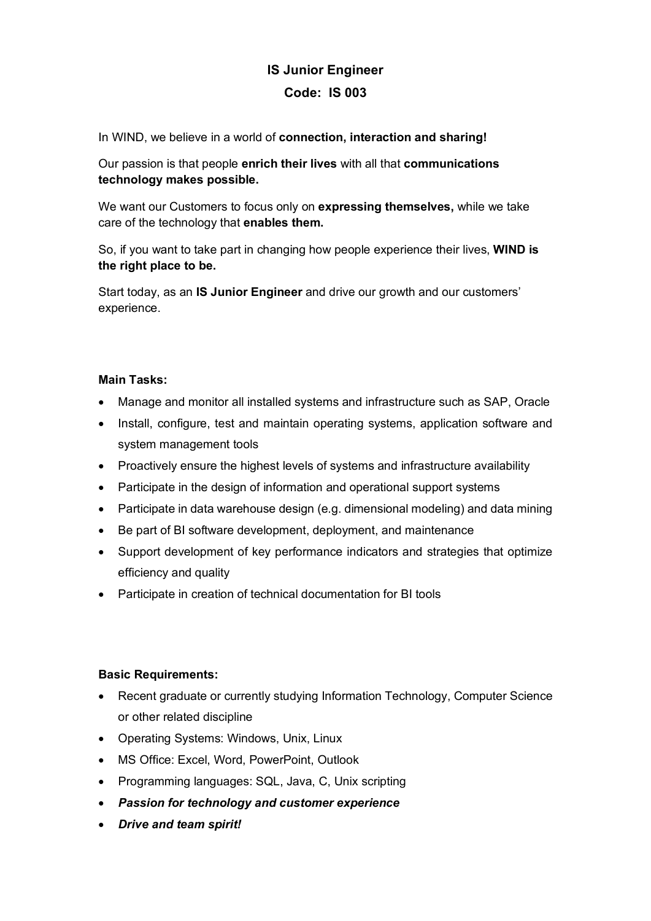## **IS Junior Engineer Code: IS 003**

In WIND, we believe in a world of **connection, interaction and sharing!**

Our passion is that people **enrich their lives** with all that **communications technology makes possible.**

We want our Customers to focus only on **expressing themselves,** while we take care of the technology that **enables them.**

So, if you want to take part in changing how people experience their lives, **WIND is the right place to be.**

Start today, as an **IS Junior Engineer** and drive our growth and our customers' experience.

## **Main Tasks:**

- Manage and monitor all installed systems and infrastructure such as SAP, Oracle
- Install, configure, test and maintain operating systems, application software and system management tools
- Proactively ensure the highest levels of systems and infrastructure availability
- Participate in the design of information and operational support systems
- Participate in data warehouse design (e.g. dimensional modeling) and data mining
- Be part of BI software development, deployment, and maintenance
- Support development of key performance indicators and strategies that optimize efficiency and quality
- Participate in creation of technical documentation for BI tools

## **Basic Requirements:**

- Recent graduate or currently studying Information Technology, Computer Science or other related discipline
- Operating Systems: Windows, Unix, Linux
- MS Office: Excel, Word, PowerPoint, Outlook
- Programming languages: SQL, Java, C, Unix scripting
- *Passion for technology and customer experience*
- *Drive and team spirit!*